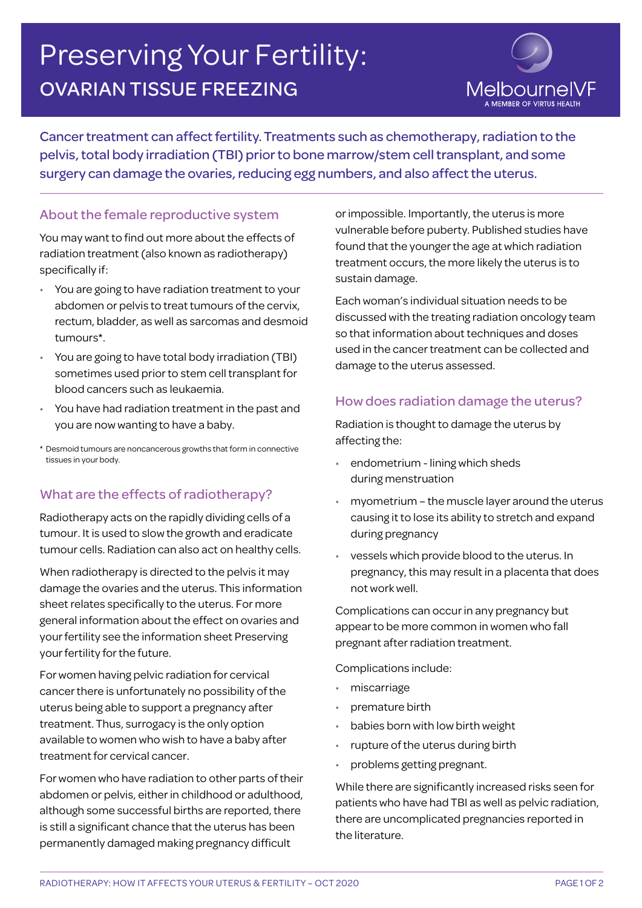# Preserving Your Fertility: OVARIAN TISSUE FREEZING



Cancer treatment can affect fertility. Treatments such as chemotherapy, radiation to the pelvis, total body irradiation (TBI) prior to bone marrow/stem cell transplant, and some surgery can damage the ovaries, reducing egg numbers, and also affect the uterus.

## About the female reproductive system

You may want to find out more about the effects of radiation treatment (also known as radiotherapy) specifically if:

- You are going to have radiation treatment to your abdomen or pelvis to treat tumours of the cervix, rectum, bladder, as well as sarcomas and desmoid tumours\*.
- You are going to have total body irradiation (TBI) sometimes used prior to stem cell transplant for blood cancers such as leukaemia.
- You have had radiation treatment in the past and you are now wanting to have a baby.
- \* Desmoid tumours are noncancerous growths that form in connective tissues in your body.

## What are the effects of radiotherapy?

Radiotherapy acts on the rapidly dividing cells of a tumour. It is used to slow the growth and eradicate tumour cells. Radiation can also act on healthy cells.

When radiotherapy is directed to the pelvis it may damage the ovaries and the uterus. This information sheet relates specifically to the uterus. For more general information about the effect on ovaries and your fertility see the information sheet Preserving your fertility for the future.

For women having pelvic radiation for cervical cancer there is unfortunately no possibility of the uterus being able to support a pregnancy after treatment. Thus, surrogacy is the only option available to women who wish to have a baby after treatment for cervical cancer.

For women who have radiation to other parts of their abdomen or pelvis, either in childhood or adulthood, although some successful births are reported, there is still a significant chance that the uterus has been permanently damaged making pregnancy difficult

or impossible. Importantly, the uterus is more vulnerable before puberty. Published studies have found that the younger the age at which radiation treatment occurs, the more likely the uterus is to sustain damage.

Each woman's individual situation needs to be discussed with the treating radiation oncology team so that information about techniques and doses used in the cancer treatment can be collected and damage to the uterus assessed.

## How does radiation damage the uterus?

Radiation is thought to damage the uterus by affecting the:

- endometrium lining which sheds during menstruation
- myometrium the muscle layer around the uterus causing it to lose its ability to stretch and expand during pregnancy
- vessels which provide blood to the uterus. In pregnancy, this may result in a placenta that does not work well.

Complications can occur in any pregnancy but appear to be more common in women who fall pregnant after radiation treatment.

Complications include:

- miscarriage
- premature birth
- babies born with low birth weight
- rupture of the uterus during birth
- problems getting pregnant.

While there are significantly increased risks seen for patients who have had TBI as well as pelvic radiation, there are uncomplicated pregnancies reported in the literature.